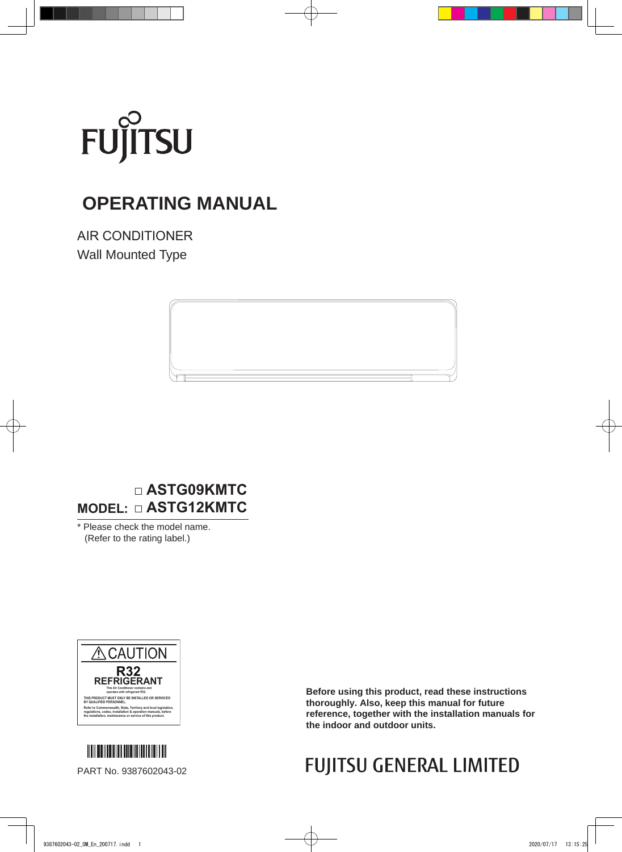# **FUJITSU**

## **OPERATING MANUAL**

AIR CONDITIONER Wall Mounted Type





\* Please check the model name. (Refer to the rating label.)





**Before using this product, read these instructions thoroughly. Also, keep this manual for future reference, together with the installation manuals for the indoor and outdoor units.**

## **FUJITSU GENERAL LIMITED**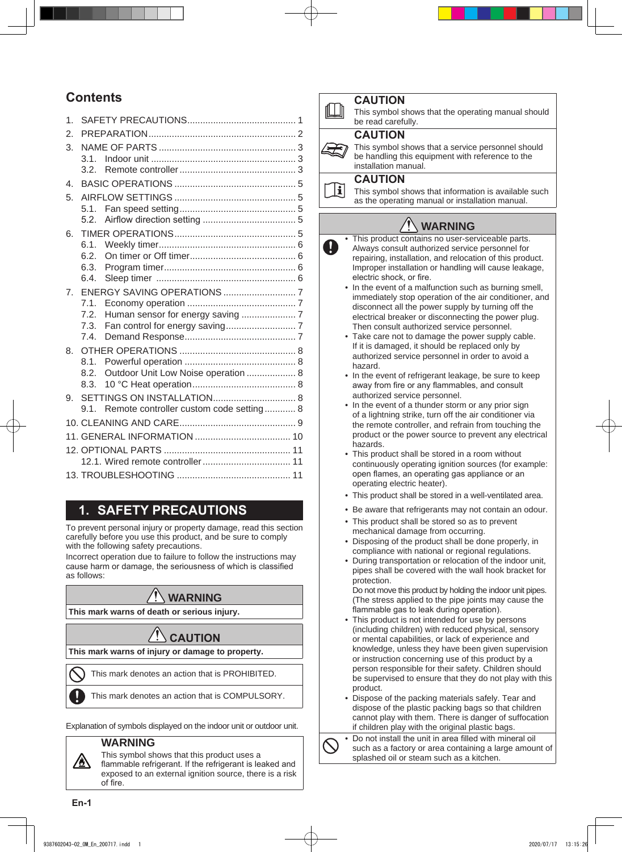## **Contents**

| 1. |      |                                         |  |
|----|------|-----------------------------------------|--|
| 2. |      |                                         |  |
| 3. |      |                                         |  |
|    | 31   |                                         |  |
|    | 3.2. |                                         |  |
| 4. |      |                                         |  |
| 5. |      |                                         |  |
|    | 5.1. |                                         |  |
|    | 5.2. |                                         |  |
| 6. |      |                                         |  |
|    | 6.1. |                                         |  |
|    | 6.2. |                                         |  |
|    | 6.3. |                                         |  |
|    | 6.4. |                                         |  |
| 7. |      |                                         |  |
|    | 7.1. |                                         |  |
|    | 7.2. | Human sensor for energy saving  7       |  |
|    | 7.3. |                                         |  |
|    | 7.4. |                                         |  |
| 8. |      |                                         |  |
|    | 8.1. |                                         |  |
|    | 8.2. | Outdoor Unit Low Noise operation  8     |  |
|    | 8.3. |                                         |  |
| 9. |      |                                         |  |
|    | 9.1. | Remote controller custom code setting 8 |  |
|    |      |                                         |  |
|    |      |                                         |  |
|    |      |                                         |  |
|    |      |                                         |  |
|    |      |                                         |  |

## **1. SAFETY PRECAUTIONS**

To prevent personal injury or property damage, read this section carefully before you use this product, and be sure to comply with the following safety precautions.

Incorrect operation due to failure to follow the instructions may cause harm or damage, the seriousness of which is classified as follows:

## **WARNING**

**This mark warns of death or serious injury.**

 **CAUTION**

**This mark warns of injury or damage to property.**

This mark denotes an action that is PROHIBITED.

This mark denotes an action that is COMPULSORY.

Explanation of symbols displayed on the indoor unit or outdoor unit.

#### **WARNING**

This symbol shows that this product uses a flammable refrigerant. If the refrigerant is leaked and exposed to an external ignition source, there is a risk of fire.





This symbol shows that the operating manual should be read carefully.

#### **CAUTION**

This symbol shows that a service personnel should be handling this equipment with reference to the installation manual.

#### **CAUTION**

 $|\mathbf{i}|$ 

This symbol shows that information is available such as the operating manual or installation manual.

## **WARNING**

- This product contains no user-serviceable parts. Always consult authorized service personnel for repairing, installation, and relocation of this product. Improper installation or handling will cause leakage, electric shock, or fire.
- In the event of a malfunction such as burning smell, immediately stop operation of the air conditioner, and disconnect all the power supply by turning off the electrical breaker or disconnecting the power plug. Then consult authorized service personnel.
- Take care not to damage the power supply cable. If it is damaged, it should be replaced only by authorized service personnel in order to avoid a hazard.
- In the event of refrigerant leakage, be sure to keep away from fire or any flammables, and consult authorized service personnel.
- In the event of a thunder storm or any prior sign of a lightning strike, turn off the air conditioner via the remote controller, and refrain from touching the product or the power source to prevent any electrical hazards.
- This product shall be stored in a room without continuously operating ignition sources (for example: open flames, an operating gas appliance or an operating electric heater).
- This product shall be stored in a well-ventilated area.
- Be aware that refrigerants may not contain an odour.
- This product shall be stored so as to prevent mechanical damage from occurring.
- Disposing of the product shall be done properly, in compliance with national or regional regulations.
- During transportation or relocation of the indoor unit, pipes shall be covered with the wall hook bracket for protection.

Do not move this product by holding the indoor unit pipes. (The stress applied to the pipe joints may cause the flammable gas to leak during operation).

- This product is not intended for use by persons (including children) with reduced physical, sensory or mental capabilities, or lack of experience and knowledge, unless they have been given supervision or instruction concerning use of this product by a person responsible for their safety. Children should be supervised to ensure that they do not play with this product.
- Dispose of the packing materials safely. Tear and dispose of the plastic packing bags so that children cannot play with them. There is danger of suffocation if children play with the original plastic bags.
- Do not install the unit in area filled with mineral oil such as a factory or area containing a large amount of splashed oil or steam such as a kitchen.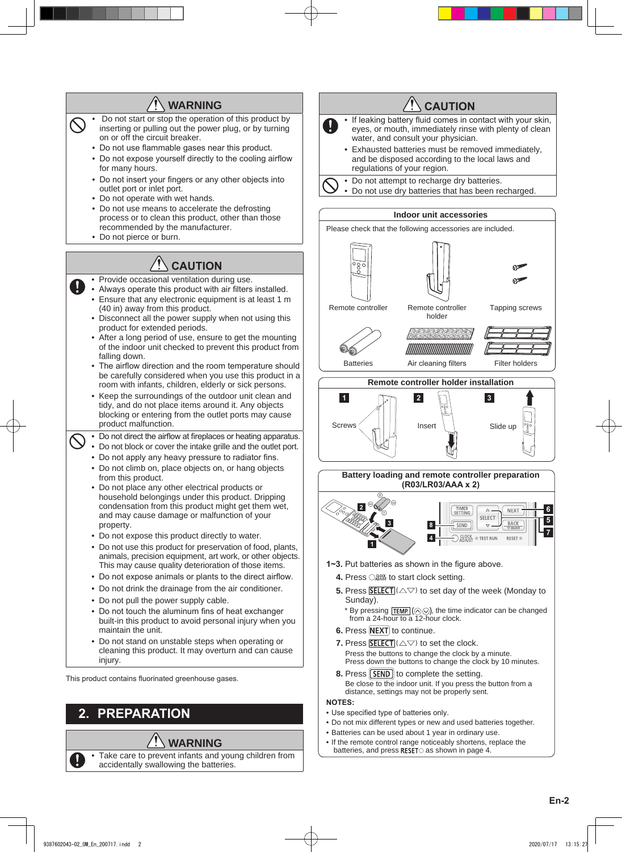| /!\ WARNING                                            |
|--------------------------------------------------------|
| Do not start or stop the operation of this product by  |
| inserting or pulling out the power plug, or by turning |
| on or off the circuit breaker.                         |

- Do not use flammable gases near this product.
- Do not expose yourself directly to the cooling airflow for many hours.
- Do not insert your fingers or any other objects into outlet port or inlet port.
- Do not operate with wet hands.
- Do not use means to accelerate the defrosting process or to clean this product, other than those recommended by the manufacturer.
- Do not pierce or burn.

## **CAUTION**

- Provide occasional ventilation during use.
- Always operate this product with air filters installed.
- Ensure that any electronic equipment is at least 1 m (40 in) away from this product.
- Disconnect all the power supply when not using this product for extended periods.
- After a long period of use, ensure to get the mounting of the indoor unit checked to prevent this product from falling down.
- The airflow direction and the room temperature should be carefully considered when you use this product in a room with infants, children, elderly or sick persons.
- Keep the surroundings of the outdoor unit clean and tidy, and do not place items around it. Any objects blocking or entering from the outlet ports may cause product malfunction.
- Do not direct the airflow at fireplaces or heating apparatus.
- Do not block or cover the intake grille and the outlet port.
- Do not apply any heavy pressure to radiator fins.
- Do not climb on, place objects on, or hang objects from this product.
- Do not place any other electrical products or household belongings under this product. Dripping condensation from this product might get them wet, and may cause damage or malfunction of your property.
- Do not expose this product directly to water.
- Do not use this product for preservation of food, plants, animals, precision equipment, art work, or other objects. This may cause quality deterioration of those items.
- Do not expose animals or plants to the direct airflow.
- Do not drink the drainage from the air conditioner.
- Do not pull the power supply cable.
- Do not touch the aluminum fins of heat exchanger built-in this product to avoid personal injury when you maintain the unit.
- Do not stand on unstable steps when operating or cleaning this product. It may overturn and can cause injury.

This product contains fluorinated greenhouse gases.

## **2. PREPARATION**

 **WARNING** Take care to prevent infants and young children from accidentally swallowing the batteries.



#### **Indoor unit accessories**

Please check that the following accessories are included.











- **1~3.** Put batteries as shown in the figure above.
	- **4.** Press  $\bigcirc$  and to start clock setting.
	- **5.** Press  $\overline{\text{SELECT}}(\triangle\heartsuit)$  to set day of the week (Monday to Sunday).
		- \* By pressing  $\text{TEMP}$  ( $\odot \odot$ ), the time indicator can be changed from a 24-hour to a 12-hour clock.
	- **6.** Press NEXT to continue.
	- **7.** Press **SELECT** ( $\triangle \triangledown$ ) to set the clock. Press the buttons to change the clock by a minute. Press down the buttons to change the clock by 10 minutes.
	- **8.** Press **[SEND]** to complete the setting. Be close to the indoor unit. If you press the button from a distance, settings may not be properly sent.

#### **NOTES:**

- Use specified type of batteries only.
- Do not mix different types or new and used batteries together.
- Batteries can be used about 1 year in ordinary use.
- If the remote control range noticeably shortens, replace the batteries, and press RESET $\circ$  as shown in page 4.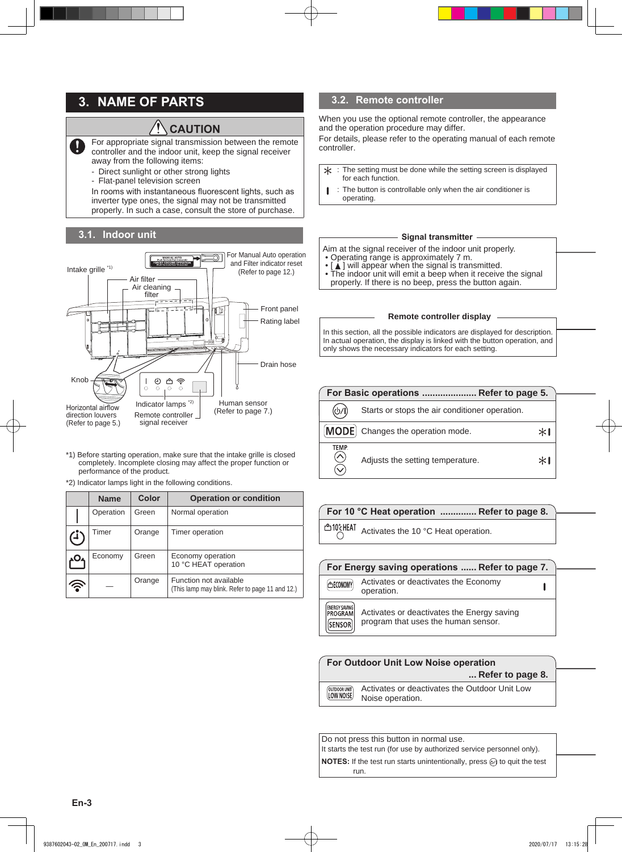## **3. NAME OF PARTS**

#### **CAUTION**

For appropriate signal transmission between the remote n controller and the indoor unit, keep the signal receiver away from the following items:

- Direct sunlight or other strong lights
- Flat-panel television screen

In rooms with instantaneous fluorescent lights, such as inverter type ones, the signal may not be transmitted properly. In such a case, consult the store of purchase.

#### **3.1. Indoor unit**



\*1) Before starting operation, make sure that the intake grille is closed completely. Incomplete closing may affect the proper function or performance of the product.

\*2) Indicator lamps light in the following conditions.

| <b>Name</b> |           | Color  | <b>Operation or condition</b>                                             |
|-------------|-----------|--------|---------------------------------------------------------------------------|
|             | Operation | Green  | Normal operation                                                          |
|             | Timer     | Orange | Timer operation                                                           |
|             | Economy   | Green  | Economy operation<br>10 °C HEAT operation                                 |
|             |           | Orange | Function not available<br>(This lamp may blink. Refer to page 11 and 12.) |

#### **3.2. Remote controller**

When you use the optional remote controller, the appearance and the operation procedure may differ.

For details, please refer to the operating manual of each remote controller.

- $*$  : The setting must be done while the setting screen is displayed for each function.
- : The button is controllable only when the air conditioner is operating.

#### **Signal transmitter**

Aim at the signal receiver of the indoor unit properly.

- Operating range is approximately 7 m.
- $\blacktriangle$  ] will appear when the signal is transmitted.
- The indoor unit will emit a beep when it receive the signal properly. If there is no beep, press the button again.

#### **Remote controller display**

In this section, all the possible indicators are displayed for description. In actual operation, the display is linked with the button operation, and only shows the necessary indicators for each setting.

| For Basic operations  Refer to page 5. |                                                |    |  |  |  |
|----------------------------------------|------------------------------------------------|----|--|--|--|
| (ମ୍                                    | Starts or stops the air conditioner operation. |    |  |  |  |
|                                        | [MODE] Changes the operation mode.             | жI |  |  |  |
| TEMP.                                  | Adjusts the setting temperature.               | жI |  |  |  |

|                                                          | For 10 °C Heat operation  Refer to page 8. |
|----------------------------------------------------------|--------------------------------------------|
| <sup>ტ10</sup> XHEAT Activates the 10 °C Heat operation. |                                            |
|                                                          |                                            |

| For Energy saving operations  Refer to page 7. |                                                                                   |  |  |  |  |  |
|------------------------------------------------|-----------------------------------------------------------------------------------|--|--|--|--|--|
| <u> ကြလေး</u>                                  | Activates or deactivates the Economy<br>operation.                                |  |  |  |  |  |
| <b>ENERGY SAVING</b><br>PROGRAM<br>[SENSOR]    | Activates or deactivates the Energy saving<br>program that uses the human sensor. |  |  |  |  |  |

| For Outdoor Unit Low Noise operation |                                                                   |  |  |  |  |
|--------------------------------------|-------------------------------------------------------------------|--|--|--|--|
| Refer to page 8.                     |                                                                   |  |  |  |  |
| (OUTDOOR UNIT)<br>(LOW NOISE)        | Activates or deactivates the Outdoor Unit Low<br>Noise operation. |  |  |  |  |

Do not press this button in normal use. It starts the test run (for use by authorized service personnel only). **NOTES:** If the test run starts unintentionally, press on to quit the test run.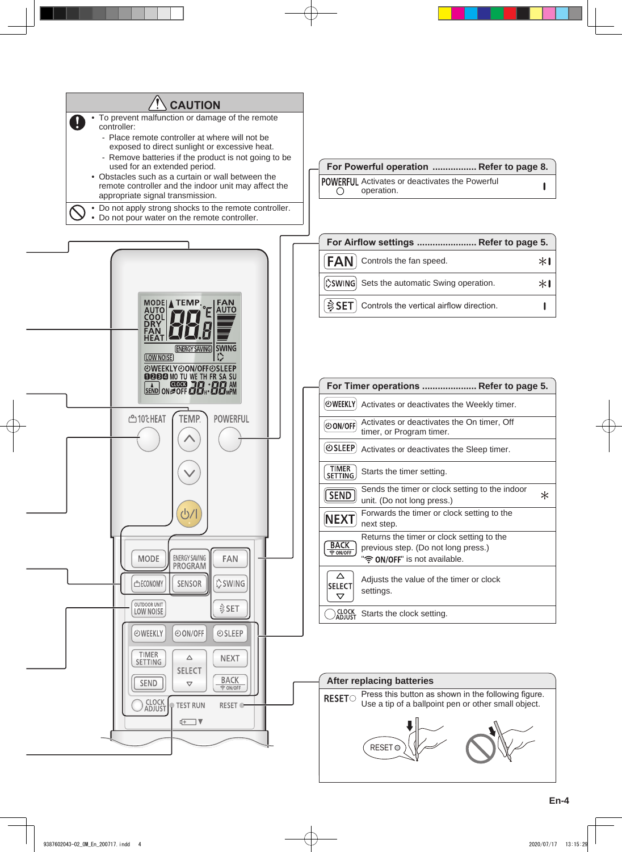

 $\mathbf{I}$ 

 $*<sub>1</sub>$ 

 $*<sub>1</sub>$ 

 $\mathbf{I}$ 

 $\ast$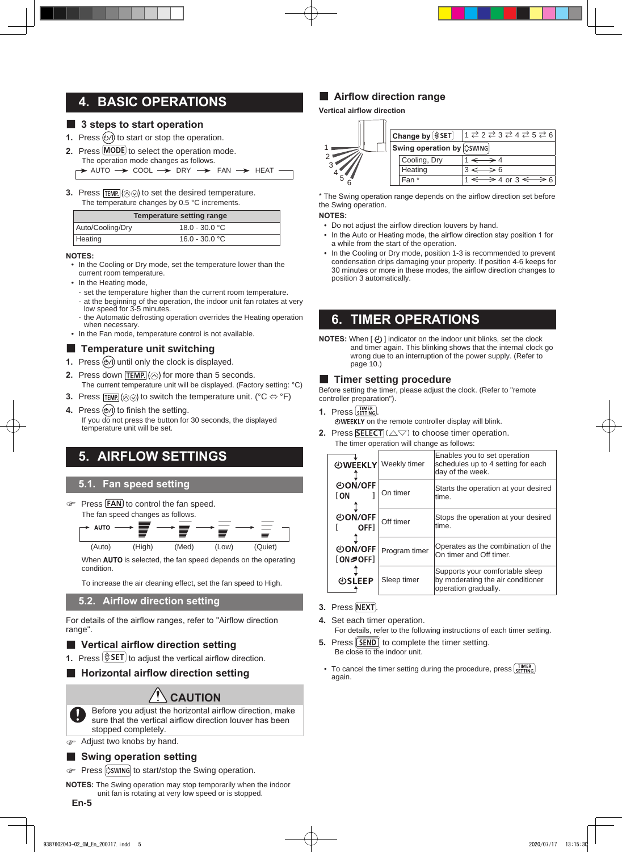## **4. BASIC OPERATIONS**

#### ■ 3 steps to start operation

- **1.** Press  $(\psi)$  to start or stop the operation.
- **2.** Press MODE to select the operation mode. The operation mode changes as follows.  $\rightarrow$  AUTO  $\rightarrow$  COOL  $\rightarrow$  DRY  $\rightarrow$  FAN  $\rightarrow$  HEAT
- **3.** Press  $TEMP(\Diamond \Diamond)$  to set the desired temperature. The temperature changes by 0.5 °C increments.

|                  | Temperature setting range |  |  |  |  |
|------------------|---------------------------|--|--|--|--|
| Auto/Cooling/Dry | $18.0 - 30.0$ °C          |  |  |  |  |
| Heating          | $16.0 - 30.0$ °C          |  |  |  |  |

#### **NOTES:**

- In the Cooling or Dry mode, set the temperature lower than the current room temperature.
- In the Heating mode,
- set the temperature higher than the current room temperature.
- at the beginning of the operation, the indoor unit fan rotates at very low speed for 3-5 minutes.
- the Automatic defrosting operation overrides the Heating operation when necessary.
- In the Fan mode, temperature control is not available.

#### ■ **Temperature unit switching**

- **1.** Press  $(\sqrt{v})$  until only the clock is displayed.
- **2.** Press down  $\boxed{\mathsf{TEMP}}(\odot)$  for more than 5 seconds.
- The current temperature unit will be displayed. (Factory setting: °C) **Press**  $\overline{\text{TEMP}}(\bigcirc \bigcirc$  **to switch the temperature unit. (°C**  $\Leftrightarrow$  **°F)**
- **4.** Press  $\textcircled{v}$  to finish the setting. If you do not press the button for 30 seconds, the displayed temperature unit will be set.

## **5. AIRFLOW SETTINGS**

#### **5.1. Fan speed setting**

 $\mathcal{P}$  Press (FAN) to control the fan speed. The fan speed changes as follows.



When AUTO is selected, the fan speed depends on the operating condition.

To increase the air cleaning effect, set the fan speed to High.

#### **5.2. Airflow direction setting**

For details of the airflow ranges, refer to "Airflow direction range".

#### ■ Vertical airflow direction setting

- **1.** Press  $\frac{1}{2}$ **SET** to adjust the vertical airflow direction.
- **Horizontal airflow direction setting**

## $\prime$ ! $\setminus$  CAUTION

Before you adjust the horizontal airflow direction, make sure that the vertical airflow direction louver has been stopped completely.

Adjust two knobs by hand.

#### ■ Swing operation setting

**Press (SWING)** to start/stop the Swing operation.

**NOTES:** The Swing operation may stop temporarily when the indoor unit fan is rotating at very low speed or is stopped.

**En-5**

#### ■ **Airflow direction range**

#### **Vertical airflow direction**

|                           | Change by $(\frac{1}{2}$ SET $ $ $ 1 \rightleftarrows 2 \rightleftarrows 3 \rightleftarrows 4 \rightleftarrows 5 \rightleftarrows 6$ |
|---------------------------|--------------------------------------------------------------------------------------------------------------------------------------|
| Swing operation by CSWING |                                                                                                                                      |
| Cooling, Dry              |                                                                                                                                      |
| Heating                   | $3 \Longleftrightarrow 6$                                                                                                            |
| Fan *                     | $1 \Longleftrightarrow 4$ or $3 \Longleftrightarrow 6$                                                                               |

\* The Swing operation range depends on the airflow direction set before the Swing operation.

**NOTES:**

- Do not adjust the airflow direction louvers by hand.
- In the Auto or Heating mode, the airflow direction stay position 1 for a while from the start of the operation.
- In the Cooling or Dry mode, position 1-3 is recommended to prevent condensation drips damaging your property. If position 4-6 keeps for 30 minutes or more in these modes, the airflow direction changes to position 3 automatically.

## **6. TIMER OPERATIONS**

**NOTES:** When  $[\circled{t}]$  indicator on the indoor unit blinks, set the clock and timer again. This blinking shows that the internal clock go wrong due to an interruption of the power supply. (Refer to page 10.)

#### ■ **Timer setting procedure**

Before setting the timer, please adjust the clock. (Refer to "remote controller preparation").

- **1.** Press **SETTING** 
	- $\Theta$ WEEKLY on the remote controller display will blink.
- **2.** Press **SELECT** ( $\triangle \triangledown$ ) to choose timer operation. The timer operation will change as follows:

| <b>ÖWEEKLY</b>               | Weekly timer  | Enables you to set operation<br>schedules up to 4 setting for each<br>day of the week.       |
|------------------------------|---------------|----------------------------------------------------------------------------------------------|
| <b>むON/OFF</b><br><b>TON</b> | On timer      | Starts the operation at your desired<br>time.                                                |
| <b>むON/OFF</b><br>OFF1       | Off timer     | Stops the operation at your desired<br>time.                                                 |
| <b>むON/OFF</b><br>[ON≢OFF]   | Program timer | Operates as the combination of the<br>On timer and Off timer.                                |
| <b>GISLEEP</b>               | Sleep timer   | Supports your comfortable sleep<br>by moderating the air conditioner<br>operation gradually. |

- **3.** Press NEXT
- **4.** Set each timer operation.
- For details, refer to the following instructions of each timer setting. **5.** Press **SEND** to complete the timer setting.
- Be close to the indoor unit.
- To cancel the timer setting during the procedure, press  $\sqrt{\frac{71\text{MER}}{5 \text{ETTING}} }$ again.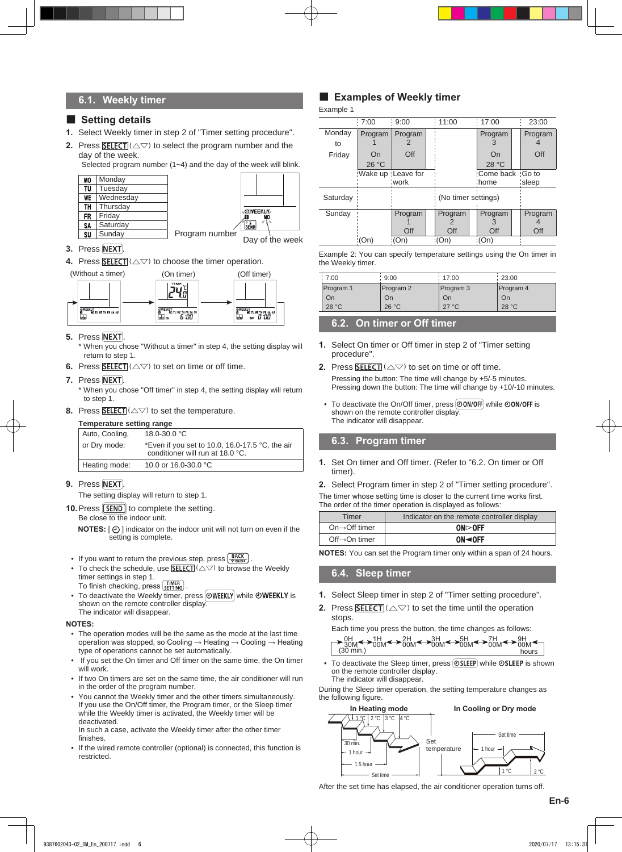#### **6.1. Weekly timer**

#### ■ **Setting details**

- **1.** Select Weekly timer in step 2 of "Timer setting procedure".
- **2.** Press  $\overline{\text{SELECT}}(\triangle \triangledown)$  to select the program number and the day of the week.

Selected program number (1~4) and the day of the week will blink.





#### **3.** Press [NEXT].

**4.** Press  $\overline{\text{SELECT}}(\triangle \triangledown)$  to choose the timer operation.



#### **5.** Press [NEXT].

When you chose "Without a timer" in step 4, the setting display will return to step 1.

**6.** Press  $\overline{\text{SELECT}}(\triangle\heartsuit)$  to set on time or off time.

#### **7.** Press **NEXT**

When you chose "Off timer" in step 4, the setting display will return to step 1.

#### **8.** Press  $\overline{\text{SELECT}}(\triangle\heartsuit)$  to set the temperature.

| Temperature setting range |                                                                                              |  |  |  |  |
|---------------------------|----------------------------------------------------------------------------------------------|--|--|--|--|
| Auto, Cooling,            | 18.0-30.0 $^{\circ}$ C                                                                       |  |  |  |  |
| or Dry mode:              | *Even if you set to 10.0, 16.0-17.5 $\degree$ C, the air<br>conditioner will run at 18.0 °C. |  |  |  |  |
| Heating mode:             | 10.0 or 16.0-30.0 °C                                                                         |  |  |  |  |

#### **9.** Press NEXT

The setting display will return to step 1.

**10.** Press **SEND** to complete the setting.

Be close to the indoor unit.

**NOTES:**  $[\vec{C}]$  indicator on the indoor unit will not turn on even if the setting is complete.

- If you want to return the previous step, press  $\left(\frac{\text{BACK}}{\text{SOWOFF}}\right)$ .
- To check the schedule, use  $\sqrt{\text{SELECT}} (\triangle \bigtriangledown)$  to browse the Weekly timer settings in step 1.
- To finish checking, press **SETTING**
- To deactivate the Weekly timer, press  $\overline{\text{(\textcirc)}\text{WEEKLY}}$  while  $\textcircled{\text{WEEKLY}}$  is shown on the remote controller display The indicator will disappear.

#### **NOTES:**

- The operation modes will be the same as the mode at the last time operation was stopped, so Cooling → Heating → Cooling → Heating type of operations cannot be set automatically.
- If you set the On timer and Off timer on the same time, the On timer will work.
- If two On timers are set on the same time, the air conditioner will run in the order of the program number.
- You cannot the Weekly timer and the other timers simultaneously. If you use the On/Off timer, the Program timer, or the Sleep timer while the Weekly timer is activated, the Weekly timer will be deactivated.

In such a case, activate the Weekly timer after the other timer finishes.

• If the wired remote controller (optional) is connected, this function is restricted.

#### ■ **Examples of Weekly timer**

Example 1

|          | 7:00              | 9:00                | 11:00   | 17:00             | 23:00        |
|----------|-------------------|---------------------|---------|-------------------|--------------|
| Monday   | Program           | Program             |         | Program           | Program      |
| to       |                   |                     |         |                   |              |
| Friday   | On                | Off                 |         | On                | Off          |
|          | 26 °C             |                     |         | 28 °C             |              |
|          | Wake up Leave for |                     |         | Come back Go to   |              |
|          |                   | work                |         | home <sup>'</sup> | <b>sleep</b> |
| Saturday |                   | (No timer settings) |         |                   |              |
| Sunday   |                   | Program             | Program | Program           | Program      |
|          |                   |                     |         |                   |              |
|          |                   | Off                 | Off     | Off               | Off          |
|          | : (On)            | (On)                | (On)    | (On)              |              |

Example 2: You can specify temperature settings using the On timer in the Weekly timer.

| 7:00      | 9:00      | 17:00          | 23:00     |
|-----------|-----------|----------------|-----------|
| Program 1 | Program 2 | Program 3      | Program 4 |
| On        | On        | On             | On        |
| 28 °C     | 26 °C     | $27^{\circ}$ C | 28 °C     |
|           |           |                |           |

**6.2. On timer or Off timer**

- **1.** Select On timer or Off timer in step 2 of "Timer setting procedure".
- **2.** Press  $\boxed{\text{SELECT}}(\triangle\heartsuit)$  to set on time or off time. Pressing the button: The time will change by +5/-5 minutes. Pressing down the button: The time will change by +10/-10 minutes.
- To deactivate the On/Off timer, press  $\overline{\textcircled{\small{0}N/OFF}}$  while  $\overline{\textcircled{\small{0}N/OFF}}$  is shown on the remote controller display The indicator will disappear.

#### **6.3. Program timer**

**1.** Set On timer and Off timer. (Refer to "6.2. On timer or Off timer).

**2.** Select Program timer in step 2 of "Timer setting procedure". The timer whose setting time is closer to the current time works first. The order of the timer operation is displayed as follows:

| Timer                             | Indicator on the remote controller display |  |
|-----------------------------------|--------------------------------------------|--|
| $On \rightarrow \text{Off timer}$ | $ON \triangleright$ OFF                    |  |
| $Off \rightarrow On$ timer        | $ON \triangleleft$ OFF                     |  |
|                                   |                                            |  |

**NOTES:** You can set the Program timer only within a span of 24 hours.

#### **6.4. Sleep timer**

- **1.** Select Sleep timer in step 2 of "Timer setting procedure".
- **2.** Press  $\overline{\text{SELECT}}(\triangle\triangledown)$  to set the time until the operation stops.

Each time you press the button, the time changes as follows: 0H



• To deactivate the Sleep timer, press  $(\bigcirc$  SLEEP while  $\bigcirc$  SLEEP is shown on the remote controller display. The indicator will disappear.

During the Sleep timer operation, the setting temperature changes as the following figure.



After the set time has elapsed, the air conditioner operation turns off.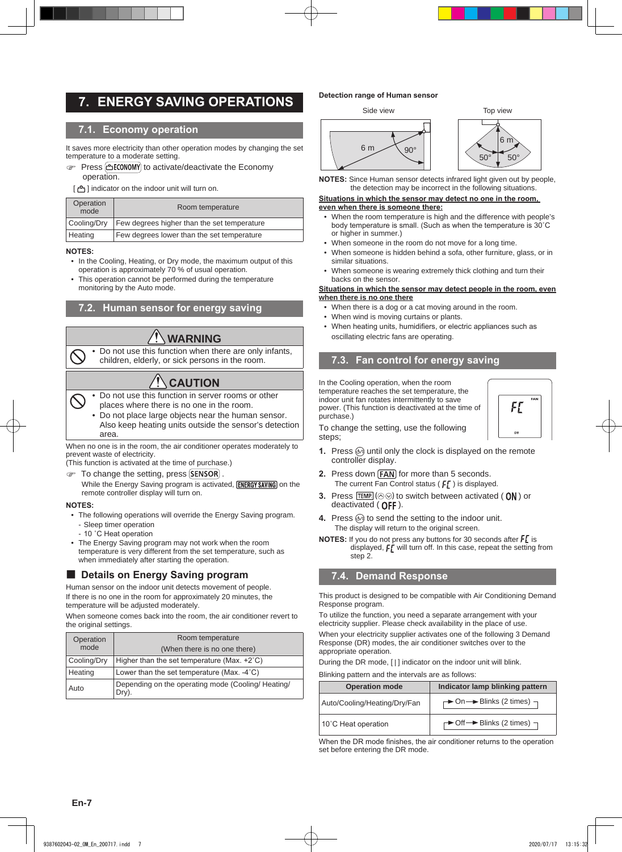## **7. ENERGY SAVING OPERATIONS**

#### **7.1. Economy operation**

It saves more electricity than other operation modes by changing the set temperature to a moderate setting.

 $\circledast$  Press (ΔECONOMY) to activate/deactivate the Economy operation.

[ ] indicator on the indoor unit will turn on.

| Operation<br>mode                                          | Room temperature                           |  |
|------------------------------------------------------------|--------------------------------------------|--|
| Few degrees higher than the set temperature<br>Cooling/Dry |                                            |  |
| Heating                                                    | Few degrees lower than the set temperature |  |

**NOTES:**

- In the Cooling, Heating, or Dry mode, the maximum output of this operation is approximately 70 % of usual operation.
- This operation cannot be performed during the temperature
- monitoring by the Auto mode.

#### **7.2. Human sensor for energy saving**

## **WARNING**

• Do not use this function when there are only infants, children, elderly, or sick persons in the room.

## **CAUTION**

• Do not use this function in server rooms or other places where there is no one in the room.

• Do not place large objects near the human sensor. Also keep heating units outside the sensor's detection area.

When no one is in the room, the air conditioner operates moderately to prevent waste of electricity.

(This function is activated at the time of purchase.)

- To change the setting, press  $(SENSOR)$ .
- While the Energy Saving program is activated, **ENERGY SAVING** on the remote controller display will turn on.

#### **NOTES:**

- The following operations will override the Energy Saving program. - Sleep timer operation
- 10 ˚C Heat operation
- The Energy Saving program may not work when the room temperature is very different from the set temperature, such as when immediately after starting the operation.

#### ■ **Details on Energy Saving program**

Human sensor on the indoor unit detects movement of people. If there is no one in the room for approximately 20 minutes, the temperature will be adjusted moderately.

When someone comes back into the room, the air conditioner revert to the original settings.

| Operation                                                          | Room temperature                                      |  |  |
|--------------------------------------------------------------------|-------------------------------------------------------|--|--|
| mode                                                               | (When there is no one there)                          |  |  |
| Cooling/Dry                                                        | Higher than the set temperature (Max. $+2^{\circ}$ C) |  |  |
| Heating                                                            | Lower than the set temperature (Max. $-4^{\circ}$ C)  |  |  |
| Depending on the operating mode (Cooling/Heating/<br>Auto<br>Dry). |                                                       |  |  |

#### **Detection range of Human sensor**





F[

**NOTES:** Since Human sensor detects infrared light given out by people, the detection may be incorrect in the following situations.

#### **Situations in which the sensor may detect no one in the room, even when there is someone there:**

- When the room temperature is high and the difference with people's body temperature is small. (Such as when the temperature is 30°C or higher in summer.)
- When someone in the room do not move for a long time.
- When someone is hidden behind a sofa, other furniture, glass, or in similar situations.
- When someone is wearing extremely thick clothing and turn their backs on the sensor.

#### **Situations in which the sensor may detect people in the room, even when there is no one there**

- When there is a dog or a cat moving around in the room.
- When wind is moving curtains or plants.
- When heating units, humidifiers, or electric appliances such as oscillating electric fans are operating.

#### **7.3. Fan control for energy saving**

In the Cooling operation, when the room temperature reaches the set temperature, the indoor unit fan rotates intermittently to save power. (This function is deactivated at the time of purchase.)

To change the setting, use the following steps;

- **1.** Press  $\textcircled{y}$  until only the clock is displayed on the remote controller display.
- **2.** Press down [FAN] for more than 5 seconds. The current Fan Control status ( $f_L$ ) is displayed.
- **3.** Press  $TEMP$  ( $\otimes \otimes$ ) to switch between activated (  $ON$  ) or deactivated  $($  OFF $)$ .
- **4.** Press  $\textcircled{q}$  to send the setting to the indoor unit. The display will return to the original screen.
- **NOTES:** If you do not press any buttons for 30 seconds after  $f_i$  is displayed,  $f\dot{f}$  will turn off. In this case, repeat the setting from step 2.

#### **7.4. Demand Response**

This product is designed to be compatible with Air Conditioning Demand Response program.

To utilize the function, you need a separate arrangement with your electricity supplier. Please check availability in the place of use.

When your electricity supplier activates one of the following 3 Demand Response (DR) modes, the air conditioner switches over to the appropriate operation.

During the DR mode, [ |] indicator on the indoor unit will blink.

Blinking pattern and the intervals are as follows:

| <b>Operation mode</b>        | Indicator lamp blinking pattern                                |  |
|------------------------------|----------------------------------------------------------------|--|
| Auto/Cooling/Heating/Dry/Fan | $\rightarrow$ On $\rightarrow$ Blinks (2 times) $\rightarrow$  |  |
| 10°C Heat operation          | $\rightarrow$ Off $\rightarrow$ Blinks (2 times) $\rightarrow$ |  |

When the DR mode finishes, the air conditioner returns to the operation set before entering the DR mode.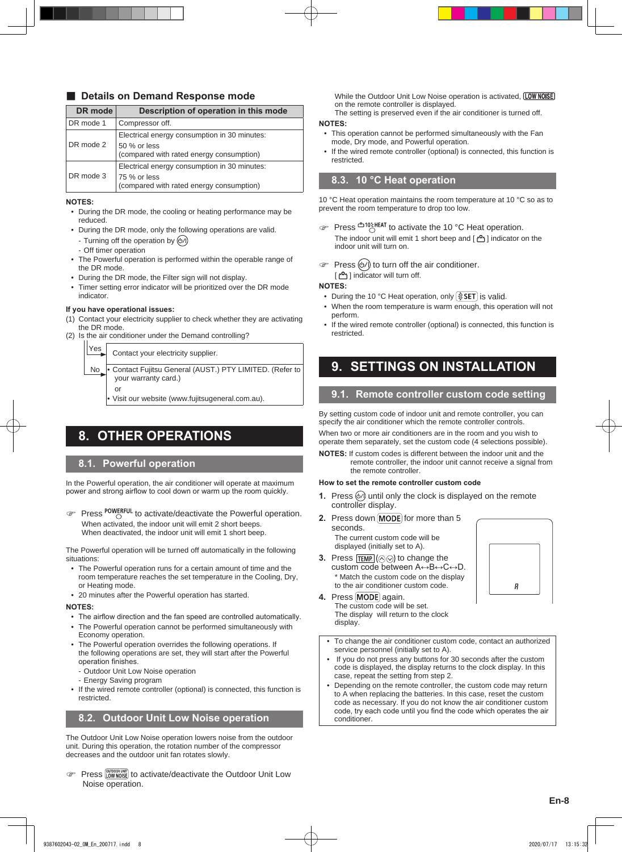#### ■ **Details on Demand Response mode**

| DR mode   | Description of operation in this mode                    |  |
|-----------|----------------------------------------------------------|--|
| DR mode 1 | Compressor off.                                          |  |
|           | Electrical energy consumption in 30 minutes:             |  |
| DR mode 2 | 50 % or less<br>(compared with rated energy consumption) |  |
|           | Electrical energy consumption in 30 minutes:             |  |
| DR mode 3 | 75 % or less<br>(compared with rated energy consumption) |  |

**NOTES:**

- During the DR mode, the cooling or heating performance may be reduced.
- During the DR mode, only the following operations are valid. - Turning off the operation by  $\circledcirc\!\!/\,$ 
	- Off timer operation
- The Powerful operation is performed within the operable range of the DR mode.
- During the DR mode, the Filter sign will not display.
- Timer setting error indicator will be prioritized over the DR mode indicator.

#### **If you have operational issues:**

- (1) Contact your electricity supplier to check whether they are activating the DR mode.
- (2) Is the air conditioner under the Demand controlling?

 $Yes$  Contact your electricity supplier.

No • Contact Fujitsu General (AUST.) PTY LIMITED. (Refer to your warranty card.) or

• Visit our website (www.fujitsugeneral.com.au).

## **8. OTHER OPERATIONS**

#### **8.1. Powerful operation**

In the Powerful operation, the air conditioner will operate at maximum power and strong airflow to cool down or warm up the room quickly.

Press <sup>POWERFUL</sup> to activate/deactivate the Powerful operation. When activated, the indoor unit will emit 2 short beeps. When deactivated, the indoor unit will emit 1 short beep.

The Powerful operation will be turned off automatically in the following situations:

- The Powerful operation runs for a certain amount of time and the room temperature reaches the set temperature in the Cooling, Dry, or Heating mode.
- 20 minutes after the Powerful operation has started.

**NOTES:**

- The airflow direction and the fan speed are controlled automatically.
- The Powerful operation cannot be performed simultaneously with Economy operation.
- The Powerful operation overrides the following operations. If the following operations are set, they will start after the Powerful operation finishes.
	- Outdoor Unit Low Noise operation
	- Energy Saving program
- If the wired remote controller (optional) is connected, this function is restricted.

#### **8.2. Outdoor Unit Low Noise operation**

The Outdoor Unit Low Noise operation lowers noise from the outdoor unit. During this operation, the rotation number of the compressor decreases and the outdoor unit fan rotates slowly.

**Press**  $\frac{\text{[QUHOMOME]} }{\text{[COWNOISE]}}$  to activate/deactivate the Outdoor Unit Low Noise operation.

While the Outdoor Unit Low Noise operation is activated, **LOW NOISE** on the remote controller is displayed.

The setting is preserved even if the air conditioner is turned off. **NOTES:** 

- This operation cannot be performed simultaneously with the Fan mode, Dry mode, and Powerful operation.
- If the wired remote controller (optional) is connected, this function is restricted.

#### **8.3. 10 °C Heat operation**

10 °C Heat operation maintains the room temperature at 10 °C so as to prevent the room temperature to drop too low.

- **Press** <sup>en 10</sup><sup>2</sup> HEAT</sup> to activate the 10 °C Heat operation. The indoor unit will emit 1 short beep and  $[0]$  indicator on the indoor unit will turn on.
- $\mathcal{P}$  Press  $(\psi)$  to turn off the air conditioner. [ $^{\circ}$ ] indicator will turn off.

#### **NOTES:**

- During the 10 °C Heat operation, only  $\frac{1}{2}$  SET is valid.
- When the room temperature is warm enough, this operation will not perform.
- If the wired remote controller (optional) is connected, this function is restricted.

## **9. SETTINGS ON INSTALLATION**

#### **9.1. Remote controller custom code setting**

By setting custom code of indoor unit and remote controller, you can specify the air conditioner which the remote controller controls.

When two or more air conditioners are in the room and you wish to operate them separately, set the custom code (4 selections possible).

**NOTES:** If custom codes is different between the indoor unit and the remote controller, the indoor unit cannot receive a signal from the remote controller.

#### **How to set the remote controller custom code**

- **1.** Press  $\textcircled{y}$  until only the clock is displayed on the remote controller display.
- **2.** Press down MODE for more than 5 seconds. The current custom code will be
- displayed (initially set to A). **3.** Press TEMP ( $\otimes$ ) to change the custom code between A↔B↔C↔D. \* Match the custom code on the display to the air conditioner custom code.
- 4. Press MODE again. The custom code will be set. The display will return to the clock display.



- To change the air conditioner custom code, contact an authorized service personnel (initially set to A).
- If you do not press any buttons for 30 seconds after the custom code is displayed, the display returns to the clock display. In this case, repeat the setting from step 2.
- Depending on the remote controller, the custom code may return to A when replacing the batteries. In this case, reset the custom code as necessary. If you do not know the air conditioner custom code, try each code until you find the code which operates the air conditioner.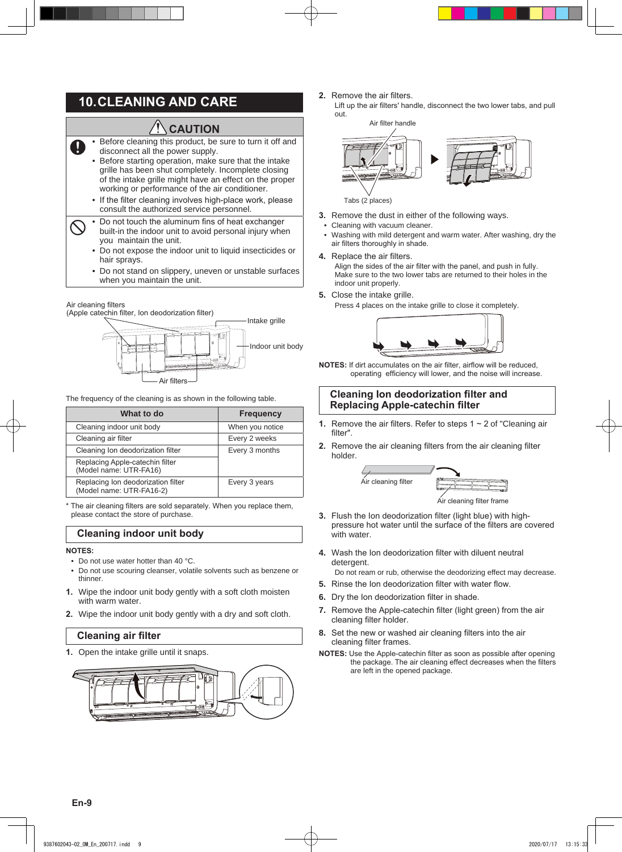## **10. CLEANING AND CARE**



• Do not stand on slippery, uneven or unstable surfaces when you maintain the unit.

#### Air cleaning filters

(Apple catechin filter, Ion deodorization filter)



The frequency of the cleaning is as shown in the following table.

| What to do                                                     | <b>Frequency</b> |
|----------------------------------------------------------------|------------------|
| Cleaning indoor unit body                                      | When you notice  |
| Cleaning air filter                                            | Every 2 weeks    |
| Cleaning Ion deodorization filter                              | Every 3 months   |
| Replacing Apple-catechin filter<br>(Model name: UTR-FA16)      |                  |
| Replacing Ion deodorization filter<br>(Model name: UTR-FA16-2) | Every 3 years    |

\* The air cleaning filters are sold separately. When you replace them, please contact the store of purchase.

#### **Cleaning indoor unit body**

#### **NOTES:**

- Do not use water hotter than 40 °C.
- Do not use scouring cleanser, volatile solvents such as benzene or thinner.
- **1.** Wipe the indoor unit body gently with a soft cloth moisten with warm water.
- **2.** Wipe the indoor unit body gently with a dry and soft cloth.

#### **Cleaning air filter**

**1.** Open the intake grille until it snaps.



**2.** Remove the air filters.

Lift up the air filters' handle, disconnect the two lower tabs, and pull out. Air filter handle



- **3.** Remove the dust in either of the following ways.
- Cleaning with vacuum cleaner.
- Washing with mild detergent and warm water. After washing, dry the air filters thoroughly in shade.

#### **4.** Replace the air filters.

Align the sides of the air filter with the panel, and push in fully. Make sure to the two lower tabs are returned to their holes in the indoor unit properly.

- **5.** Close the intake grille.
	- Press 4 places on the intake grille to close it completely.



**NOTES:** If dirt accumulates on the air filter, airflow will be reduced, operating efficiency will lower, and the noise will increase.

#### **Cleaning Ion deodorization filter and Replacing Apple-catechin filter**

- **1.** Remove the air filters. Refer to steps  $1 \sim 2$  of "Cleaning air filter".
- **2.** Remove the air cleaning filters from the air cleaning filter holder.



Air cleaning filter frame

- **3.** Flush the Ion deodorization filter (light blue) with highpressure hot water until the surface of the filters are covered with water.
- **4.** Wash the Ion deodorization filter with diluent neutral detergent.

Do not ream or rub, otherwise the deodorizing effect may decrease.

- **5.** Rinse the Ion deodorization filter with water flow.
- **6.** Dry the Ion deodorization filter in shade.
- **7.** Remove the Apple-catechin filter (light green) from the air cleaning filter holder.
- **8.** Set the new or washed air cleaning filters into the air cleaning filter frames.
- **NOTES:** Use the Apple-catechin filter as soon as possible after opening the package. The air cleaning effect decreases when the filters are left in the opened package.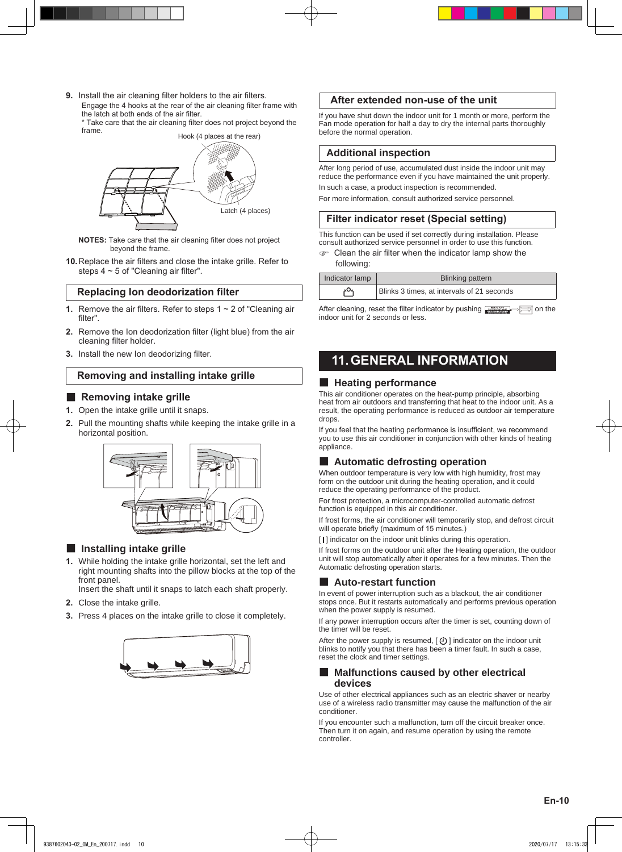- **9.** Install the air cleaning filter holders to the air filters. Engage the 4 hooks at the rear of the air cleaning filter frame with
	- the latch at both ends of the air filter. \* Take care that the air cleaning filter does not project beyond the frame.



**NOTES:** Take care that the air cleaning filter does not project beyond the frame.

**10.** Replace the air filters and close the intake grille. Refer to steps  $4 \sim 5$  of "Cleaning air filter".

#### **Replacing Ion deodorization filter**

- **1.** Remove the air filters. Refer to steps 1 ~ 2 of "Cleaning air filter".
- **2.** Remove the Ion deodorization filter (light blue) from the air cleaning filter holder.
- **3.** Install the new Ion deodorizing filter.

#### **Removing and installing intake grille**

#### ■ **Removing intake grille**

- **1.** Open the intake grille until it snaps.
- **2.** Pull the mounting shafts while keeping the intake grille in a horizontal position.



#### ■ **Installing intake grille**

**1.** While holding the intake grille horizontal, set the left and right mounting shafts into the pillow blocks at the top of the front panel.

Insert the shaft until it snaps to latch each shaft properly.

- **2.** Close the intake grille.
- **3.** Press 4 places on the intake grille to close it completely.



#### **After extended non-use of the unit**

If you have shut down the indoor unit for 1 month or more, perform the Fan mode operation for half a day to dry the internal parts thoroughly before the normal operation.

#### **Additional inspection**

After long period of use, accumulated dust inside the indoor unit may reduce the performance even if you have maintained the unit properly. In such a case, a product inspection is recommended

For more information, consult authorized service personnel.

#### **Filter indicator reset (Special setting)**

This function can be used if set correctly during installation. Please consult authorized service personnel in order to use this function.

- )) Clean the air filter when the indicator lamp show the following:
	-

| Indicator lamp   | <b>Blinking pattern</b>                    |  |
|------------------|--------------------------------------------|--|
| ٬ <sup>Ο</sup> 1 | Blinks 3 times, at intervals of 21 seconds |  |

After cleaning, reset the filter indicator by pushing  $\Box$  on the indoor unit for 2 seconds or less.

## **11. GENERAL INFORMATION**

#### ■ **Heating performance**

This air conditioner operates on the heat-pump principle, absorbing heat from air outdoors and transferring that heat to the indoor unit. As a result, the operating performance is reduced as outdoor air temperature drops.

If you feel that the heating performance is insufficient, we recommend you to use this air conditioner in conjunction with other kinds of heating appliance.

#### ■ **Automatic defrosting operation**

When outdoor temperature is very low with high humidity, frost may form on the outdoor unit during the heating operation, and it could reduce the operating performance of the product.

For frost protection, a microcomputer-controlled automatic defrost function is equipped in this air conditioner.

If frost forms, the air conditioner will temporarily stop, and defrost circuit will operate briefly (maximum of 15 minutes.)

[ ] indicator on the indoor unit blinks during this operation.

If frost forms on the outdoor unit after the Heating operation, the outdoor unit will stop automatically after it operates for a few minutes. Then the Automatic defrosting operation starts.

#### ■ **Auto-restart function**

In event of power interruption such as a blackout, the air conditioner stops once. But it restarts automatically and performs previous operation when the power supply is resumed.

If any power interruption occurs after the timer is set, counting down of the timer will be reset.

After the power supply is resumed,  $[\bigodot]$  indicator on the indoor unit blinks to notify you that there has been a timer fault. In such a case, reset the clock and timer settings.

#### ■ **Malfunctions caused by other electrical devices**

Use of other electrical appliances such as an electric shaver or nearby use of a wireless radio transmitter may cause the malfunction of the air conditioner.

If you encounter such a malfunction, turn off the circuit breaker once. Then turn it on again, and resume operation by using the remote controller.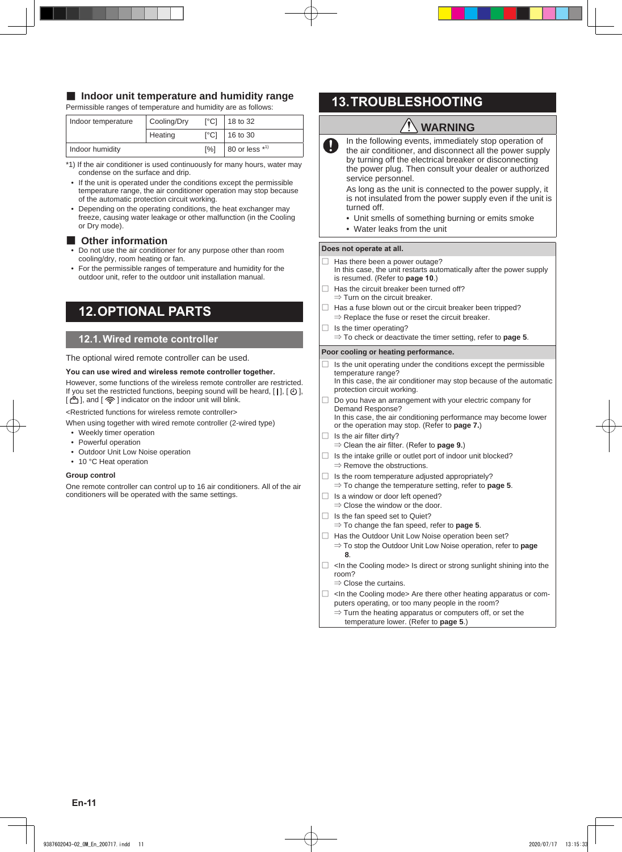#### ■ **Indoor unit temperature and humidity range**

Permissible ranges of temperature and humidity are as follows:

| Indoor temperature |                 | Cooling/Dry | $\lceil{^{\circ}C}\rceil$ | 18 to 32        |
|--------------------|-----------------|-------------|---------------------------|-----------------|
|                    |                 | Heating     | [°C]                      | $16$ to 30      |
|                    | Indoor humidity |             | [%]                       | 80 or less $*1$ |

\*1) If the air conditioner is used continuously for many hours, water may condense on the surface and drip.

- If the unit is operated under the conditions except the permissible temperature range, the air conditioner operation may stop because of the automatic protection circuit working.
- Depending on the operating conditions, the heat exchanger may freeze, causing water leakage or other malfunction (in the Cooling or Dry mode).

#### ■ Other information

- Do not use the air conditioner for any purpose other than room cooling/dry, room heating or fan.
- For the permissible ranges of temperature and humidity for the outdoor unit, refer to the outdoor unit installation manual.

## **12. OPTIONAL PARTS**

#### **12.1. Wired remote controller**

The optional wired remote controller can be used.

#### **You can use wired and wireless remote controller together.**

However, some functions of the wireless remote controller are restricted. If you set the restricted functions, beeping sound will be heard,  $[ | ] , [ \bigoplus ] ,$ [ $^{\circ}$ ], and [ $\circled{?}$ ] indicator on the indoor unit will blink.

<Restricted functions for wireless remote controller>

- When using together with wired remote controller (2-wired type)
- Weekly timer operation
- Powerful operation
- Outdoor Unit Low Noise operation
- 10 °C Heat operation

#### **Group control**

One remote controller can control up to 16 air conditioners. All of the air conditioners will be operated with the same settings.

### **13. TROUBLESHOOTING**

#### **WARNING**

In the following events, immediately stop operation of **T** the air conditioner, and disconnect all the power supply by turning off the electrical breaker or disconnecting the power plug. Then consult your dealer or authorized service personnel.

As long as the unit is connected to the power supply, it is not insulated from the power supply even if the unit is turned off.

- Unit smells of something burning or emits smoke
- Water leaks from the unit

#### **Does not operate at all.**

- $\Box$  Has there been a power outage? In this case, the unit restarts automatically after the power supply is resumed. (Refer to **page 10**.)
- Has the circuit breaker been turned off?
- ⇒ Turn on the circuit breaker.
- $\Box$  Has a fuse blown out or the circuit breaker been tripped? ⇒ Replace the fuse or reset the circuit breaker.
- $\Box$  Is the timer operating?
	- ⇒ To check or deactivate the timer setting, refer to **page 5**.

#### **Poor cooling or heating performance.**

- $\Box$  Is the unit operating under the conditions except the permissible temperature range? In this case, the air conditioner may stop because of the automatic
- protection circuit working.
- □ Do you have an arrangement with your electric company for Demand Response?
	- In this case, the air conditioning performance may become lower or the operation may stop. (Refer to **page 7.**)
- Is the air filter dirty?
- ⇒ Clean the air filter. (Refer to **page 9.**)
- $\Box$  Is the intake grille or outlet port of indoor unit blocked? ⇒ Remove the obstructions.
- 
- $\Box$  Is the room temperature adjusted appropriately? ⇒ To change the temperature setting, refer to **page 5**.
- 
- $\Box$  Is a window or door left opened? ⇒ Close the window or the door.
- $\Box$  Is the fan speed set to Quiet?
- ⇒ To change the fan speed, refer to **page 5**.
- 
- □ Has the Outdoor Unit Low Noise operation been set? ⇒ To stop the Outdoor Unit Low Noise operation, refer to **page 8**.
- □ <In the Cooling mode> Is direct or strong sunlight shining into the room?
- $\Rightarrow$  Close the curtains.
- $\Box$  <In the Cooling mode> Are there other heating apparatus or computers operating, or too many people in the room?
	- $\Rightarrow$  Turn the heating apparatus or computers off, or set the temperature lower. (Refer to **page 5**.)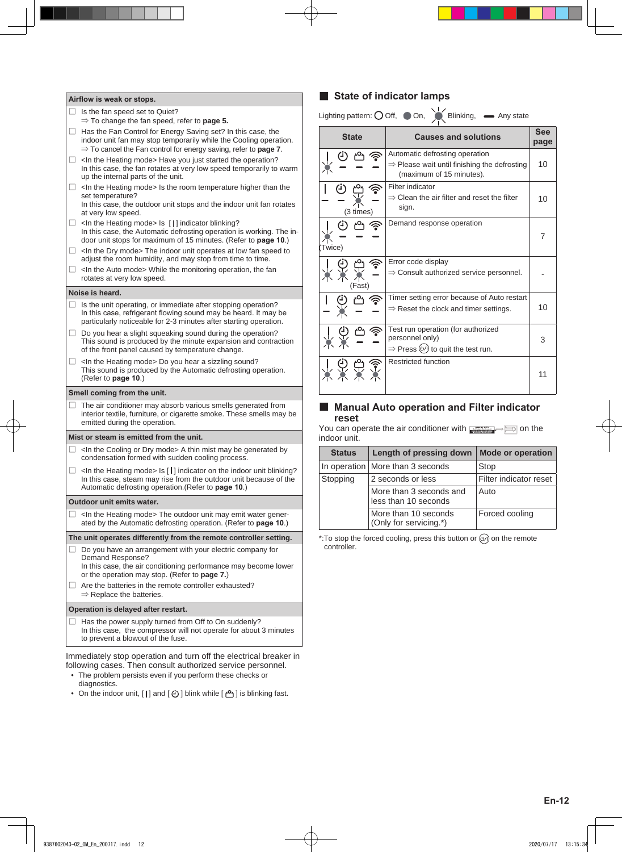#### **Airflow is weak or stops.**

- $\Box$  Is the fan speed set to Quiet?
- ⇒ To change the fan speed, refer to **page 5.**
- □ Has the Fan Control for Energy Saving set? In this case, the indoor unit fan may stop temporarily while the Cooling operation. ⇒ To cancel the Fan control for energy saving, refer to **page 7**.
- $\Box$  <In the Heating mode> Have you just started the operation? In this case, the fan rotates at very low speed temporarily to warm up the internal parts of the unit.
- $\Box$  < In the Heating mode > Is the room temperature higher than the set temperature?

In this case, the outdoor unit stops and the indoor unit fan rotates at very low speed.

- $\Box$  <In the Heating mode> Is  $[ ]$  indicator blinking? In this case, the Automatic defrosting operation is working. The indoor unit stops for maximum of 15 minutes. (Refer to **page 10**.)
- $\Box$  <In the Dry mode> The indoor unit operates at low fan speed to adjust the room humidity, and may stop from time to time.
- $\Box$  <In the Auto mode> While the monitoring operation, the fan rotates at very low speed.

#### **Noise is heard.**

- $\Box$  Is the unit operating, or immediate after stopping operation? In this case, refrigerant flowing sound may be heard. It may be particularly noticeable for 2-3 minutes after starting operation.
- $\Box$  Do you hear a slight squeaking sound during the operation? This sound is produced by the minute expansion and contraction of the front panel caused by temperature change.
- $\Box$  <In the Heating mode> Do you hear a sizzling sound? This sound is produced by the Automatic defrosting operation. (Refer to **page 10**.)

#### **Smell coming from the unit.**

 $\Box$  The air conditioner may absorb various smells generated from interior textile, furniture, or cigarette smoke. These smells may be emitted during the operation.

#### **Mist or steam is emitted from the unit.**

- $\Box$  <In the Cooling or Dry mode> A thin mist may be generated by condensation formed with sudden cooling process.
- $\Box$  <In the Heating mode> Is  $\Box$  indicator on the indoor unit blinking? In this case, steam may rise from the outdoor unit because of the Automatic defrosting operation.(Refer to **page 10**.)

#### **Outdoor unit emits water.**

 $\Box$  <In the Heating mode> The outdoor unit may emit water generated by the Automatic defrosting operation. (Refer to **page 10**.)

#### **The unit operates differently from the remote controller setting.**

- Do you have an arrangement with your electric company for Demand Response?
- In this case, the air conditioning performance may become lower or the operation may stop. (Refer to **page 7.**)
- $\Box$  Are the batteries in the remote controller exhausted?  $\Rightarrow$  Replace the batteries.

#### **Operation is delayed after restart.**

 $\Box$  Has the power supply turned from Off to On suddenly? In this case, the compressor will not operate for about 3 minutes to prevent a blowout of the fuse.

Immediately stop operation and turn off the electrical breaker in following cases. Then consult authorized service personnel.

- The problem persists even if you perform these checks or diagnostics.
- On the indoor unit,  $[|]$  and  $[$   $\bigcirc$   $]$  blink while  $[$   $\bigcirc$ <sub>1</sub> $]$  is blinking fast.

#### ■ State of indicator lamps

## Lighting pattern:  $\bigcirc$  Off,  $\bigcirc$  On,  $\bigcirc$  Blinking,  $\longrightarrow$  Any state

| <b>State</b> |  | <b>Causes and solutions</b> |                                                                                                                        |    |
|--------------|--|-----------------------------|------------------------------------------------------------------------------------------------------------------------|----|
|              |  |                             | Automatic defrosting operation<br>$\Rightarrow$ Please wait until finishing the defrosting<br>(maximum of 15 minutes). | 10 |
|              |  | (3 times)                   | Filter indicator<br>$\Rightarrow$ Clean the air filter and reset the filter<br>sign.                                   | 10 |
| (Twice)      |  |                             | Demand response operation                                                                                              | 7  |
|              |  | (Fast)                      | Error code display<br>$\Rightarrow$ Consult authorized service personnel.                                              |    |
|              |  |                             | Timer setting error because of Auto restart<br>$\Rightarrow$ Reset the clock and timer settings.                       | 10 |
|              |  |                             | Test run operation (for authorized<br>personnel only)<br>$\Rightarrow$ Press $\circledcirc$ to quit the test run.      | 3  |
|              |  |                             | Restricted function                                                                                                    | 11 |

#### ■ Manual Auto operation and Filter indicator **reset**

You can operate the air conditioner with  $\Box$  on the indoor unit.

| <b>Status</b> | Length of pressing down                         | <b>Mode or operation</b> |
|---------------|-------------------------------------------------|--------------------------|
|               | In operation   More than 3 seconds              | Stop                     |
| Stopping      | 2 seconds or less                               | Filter indicator reset   |
|               | More than 3 seconds and<br>less than 10 seconds | Auto                     |
|               | More than 10 seconds<br>(Only for servicing.*)  | Forced cooling           |

\*: To stop the forced cooling, press this button or  $\textcircled{v}$  on the remote controller.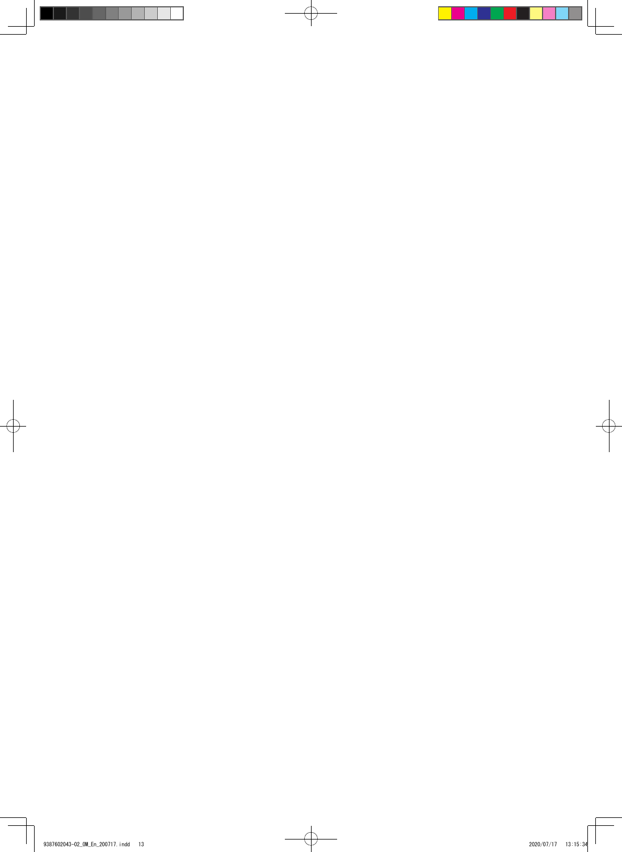$\begin{array}{c} \begin{array}{c} \end{array} \\ \begin{array}{c} \end{array} \end{array}$ 

 $\begin{tabular}{c} \multicolumn{1}{c} {\textbf{A}} \\ \multicolumn{1}{c} {\textbf{B}} \\ \multicolumn{1}{c} {\textbf{C}} \\ \multicolumn{1}{c} {\textbf{D}} \\ \multicolumn{1}{c} {\textbf{A}} \\ \multicolumn{1}{c} {\textbf{A}} \\ \multicolumn{1}{c} {\textbf{A}} \\ \multicolumn{1}{c} {\textbf{A}} \\ \multicolumn{1}{c} {\textbf{A}} \\ \multicolumn{1}{c} {\textbf{A}} \\ \multicolumn{1}{c} {\textbf{A}} \\ \multicolumn{1}{c} {\textbf{A}} \\ \multicolumn{1}{c} {\textbf{A}} \\ \multicolumn$ 

 $\begin{array}{c}\n\downarrow \\
\downarrow \\
\downarrow\n\end{array}$ 

 $\overline{\phantom{a}}$  , and  $\overline{\phantom{a}}$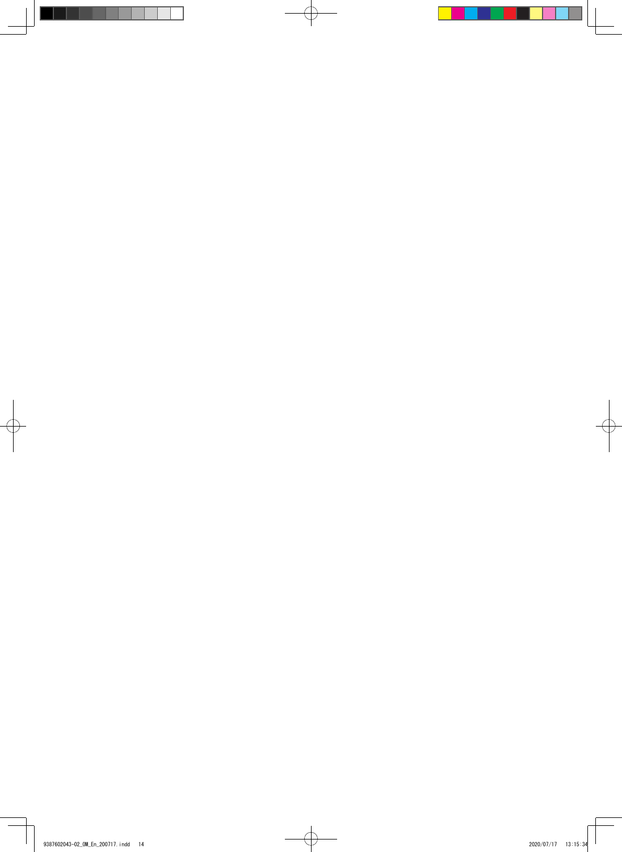$\begin{array}{c} \begin{array}{c} \end{array} \\ \begin{array}{c} \end{array} \end{array}$ 

 $\begin{tabular}{c} \multicolumn{1}{c} {\textbf{A}} \\ \multicolumn{1}{c} {\textbf{B}} \\ \multicolumn{1}{c} {\textbf{C}} \\ \multicolumn{1}{c} {\textbf{D}} \\ \multicolumn{1}{c} {\textbf{A}} \\ \multicolumn{1}{c} {\textbf{A}} \\ \multicolumn{1}{c} {\textbf{A}} \\ \multicolumn{1}{c} {\textbf{A}} \\ \multicolumn{1}{c} {\textbf{A}} \\ \multicolumn{1}{c} {\textbf{A}} \\ \multicolumn{1}{c} {\textbf{A}} \\ \multicolumn{1}{c} {\textbf{A}} \\ \multicolumn{1}{c} {\textbf{A}} \\ \multicolumn$ 

 $\begin{array}{c}\n\downarrow \\
\downarrow \\
\downarrow\n\end{array}$ 

 $\overline{\phantom{a}}$  , and  $\overline{\phantom{a}}$